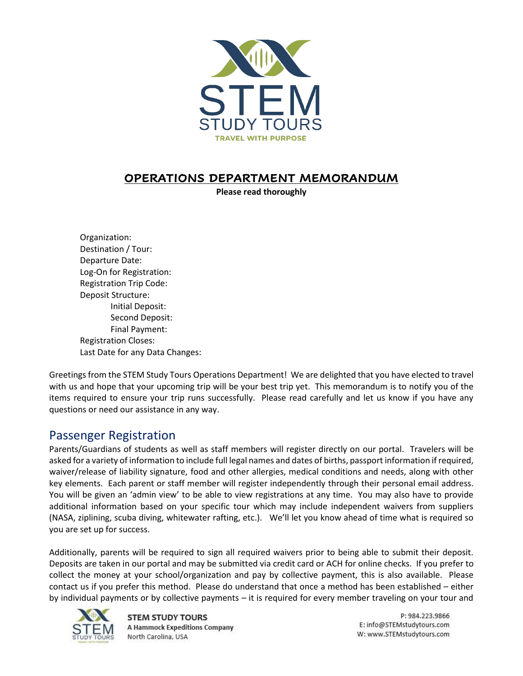

#### **OPERATIONS DEPARTMENT MEMORANDUM**

**Please read thoroughly**

Organization: Destination / Tour: Departure Date: Log-On for Registration: Registration Trip Code: Deposit Structure: Initial Deposit: Second Deposit: Final Payment: Registration Closes: Last Date for any Data Changes:

Greetings from the STEM Study Tours Operations Department! We are delighted that you have elected to travel with us and hope that your upcoming trip will be your best trip yet. This memorandum is to notify you of the items required to ensure your trip runs successfully. Please read carefully and let us know if you have any questions or need our assistance in any way.

#### Passenger Registration

Parents/Guardians of students as well as staff members will register directly on our portal. Travelers will be asked for a variety of information to include full legal names and dates of births, passport information if required, waiver/release of liability signature, food and other allergies, medical conditions and needs, along with other key elements. Each parent or staff member will register independently through their personal email address. You will be given an 'admin view' to be able to view registrations at any time. You may also have to provide additional information based on your specific tour which may include independent waivers from suppliers (NASA, ziplining, scuba diving, whitewater rafting, etc.). We'll let you know ahead of time what is required so you are set up for success.

Additionally, parents will be required to sign all required waivers prior to being able to submit their deposit. Deposits are taken in our portal and may be submitted via credit card or ACH for online checks. If you prefer to collect the money at your school/organization and pay by collective payment, this is also available. Please contact us if you prefer this method. Please do understand that once a method has been established – either by individual payments or by collective payments – it is required for every member traveling on your tour and



**STEM STUDY TOURS A Hammock Expeditions Company** North Carolina, USA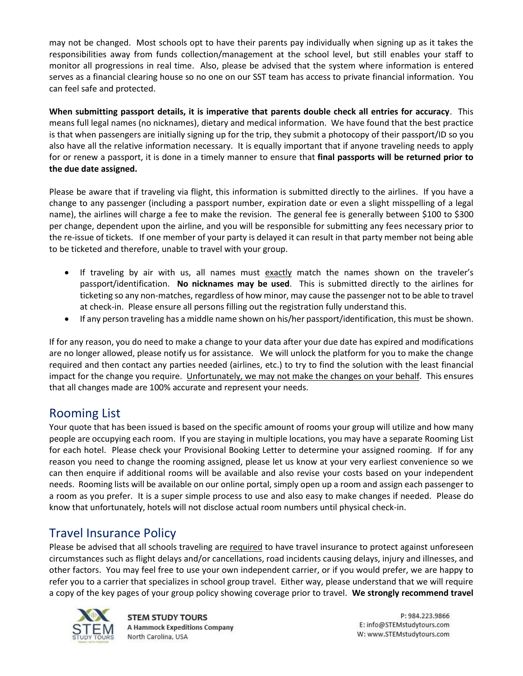may not be changed. Most schools opt to have their parents pay individually when signing up as it takes the responsibilities away from funds collection/management at the school level, but still enables your staff to monitor all progressions in real time. Also, please be advised that the system where information is entered serves as a financial clearing house so no one on our SST team has access to private financial information. You can feel safe and protected.

**When submitting passport details, it is imperative that parents double check all entries for accuracy**. This means full legal names (no nicknames), dietary and medical information. We have found that the best practice is that when passengers are initially signing up for the trip, they submit a photocopy of their passport/ID so you also have all the relative information necessary. It is equally important that if anyone traveling needs to apply for or renew a passport, it is done in a timely manner to ensure that **final passports will be returned prior to the due date assigned.**

Please be aware that if traveling via flight, this information is submitted directly to the airlines. If you have a change to any passenger (including a passport number, expiration date or even a slight misspelling of a legal name), the airlines will charge a fee to make the revision. The general fee is generally between \$100 to \$300 per change, dependent upon the airline, and you will be responsible for submitting any fees necessary prior to the re-issue of tickets. If one member of your party is delayed it can result in that party member not being able to be ticketed and therefore, unable to travel with your group.

- If traveling by air with us, all names must exactly match the names shown on the traveler's passport/identification. **No nicknames may be used**. This is submitted directly to the airlines for ticketing so any non-matches, regardless of how minor, may cause the passenger not to be able to travel at check-in. Please ensure all persons filling out the registration fully understand this.
- If any person traveling has a middle name shown on his/her passport/identification, this must be shown.

If for any reason, you do need to make a change to your data after your due date has expired and modifications are no longer allowed, please notify us for assistance. We will unlock the platform for you to make the change required and then contact any parties needed (airlines, etc.) to try to find the solution with the least financial impact for the change you require. Unfortunately, we may not make the changes on your behalf. This ensures that all changes made are 100% accurate and represent your needs.

#### Rooming List

Your quote that has been issued is based on the specific amount of rooms your group will utilize and how many people are occupying each room. If you are staying in multiple locations, you may have a separate Rooming List for each hotel. Please check your Provisional Booking Letter to determine your assigned rooming. If for any reason you need to change the rooming assigned, please let us know at your very earliest convenience so we can then enquire if additional rooms will be available and also revise your costs based on your independent needs. Rooming lists will be available on our online portal, simply open up a room and assign each passenger to a room as you prefer. It is a super simple process to use and also easy to make changes if needed. Please do know that unfortunately, hotels will not disclose actual room numbers until physical check-in.

## Travel Insurance Policy

Please be advised that all schools traveling are required to have travel insurance to protect against unforeseen circumstances such as flight delays and/or cancellations, road incidents causing delays, injury and illnesses, and other factors. You may feel free to use your own independent carrier, or if you would prefer, we are happy to refer you to a carrier that specializes in school group travel. Either way, please understand that we will require a copy of the key pages of your group policy showing coverage prior to travel. **We strongly recommend travel** 



**STEM STUDY TOURS A Hammock Expeditions Company** North Carolina, USA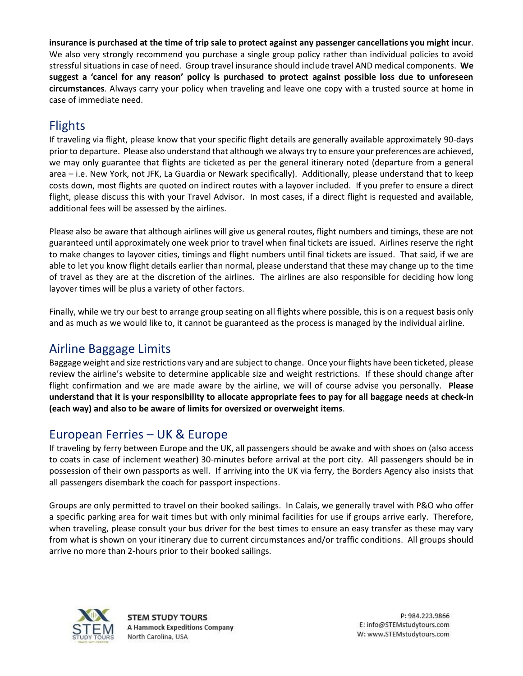**insurance is purchased at the time of trip sale to protect against any passenger cancellations you might incur**. We also very strongly recommend you purchase a single group policy rather than individual policies to avoid stressful situations in case of need. Group travel insurance should include travel AND medical components. **We suggest a 'cancel for any reason' policy is purchased to protect against possible loss due to unforeseen circumstances**. Always carry your policy when traveling and leave one copy with a trusted source at home in case of immediate need.

# Flights

If traveling via flight, please know that your specific flight details are generally available approximately 90-days prior to departure. Please also understand that although we always try to ensure your preferences are achieved, we may only guarantee that flights are ticketed as per the general itinerary noted (departure from a general area – i.e. New York, not JFK, La Guardia or Newark specifically). Additionally, please understand that to keep costs down, most flights are quoted on indirect routes with a layover included. If you prefer to ensure a direct flight, please discuss this with your Travel Advisor. In most cases, if a direct flight is requested and available, additional fees will be assessed by the airlines.

Please also be aware that although airlines will give us general routes, flight numbers and timings, these are not guaranteed until approximately one week prior to travel when final tickets are issued. Airlines reserve the right to make changes to layover cities, timings and flight numbers until final tickets are issued. That said, if we are able to let you know flight details earlier than normal, please understand that these may change up to the time of travel as they are at the discretion of the airlines. The airlines are also responsible for deciding how long layover times will be plus a variety of other factors.

Finally, while we try our best to arrange group seating on all flights where possible, this is on a request basis only and as much as we would like to, it cannot be guaranteed as the process is managed by the individual airline.

## Airline Baggage Limits

Baggage weight and size restrictions vary and are subject to change. Once your flights have been ticketed, please review the airline's website to determine applicable size and weight restrictions. If these should change after flight confirmation and we are made aware by the airline, we will of course advise you personally. **Please understand that it is your responsibility to allocate appropriate fees to pay for all baggage needs at check-in (each way) and also to be aware of limits for oversized or overweight items**.

## European Ferries – UK & Europe

If traveling by ferry between Europe and the UK, all passengers should be awake and with shoes on (also access to coats in case of inclement weather) 30-minutes before arrival at the port city. All passengers should be in possession of their own passports as well. If arriving into the UK via ferry, the Borders Agency also insists that all passengers disembark the coach for passport inspections.

Groups are only permitted to travel on their booked sailings. In Calais, we generally travel with P&O who offer a specific parking area for wait times but with only minimal facilities for use if groups arrive early. Therefore, when traveling, please consult your bus driver for the best times to ensure an easy transfer as these may vary from what is shown on your itinerary due to current circumstances and/or traffic conditions. All groups should arrive no more than 2-hours prior to their booked sailings.

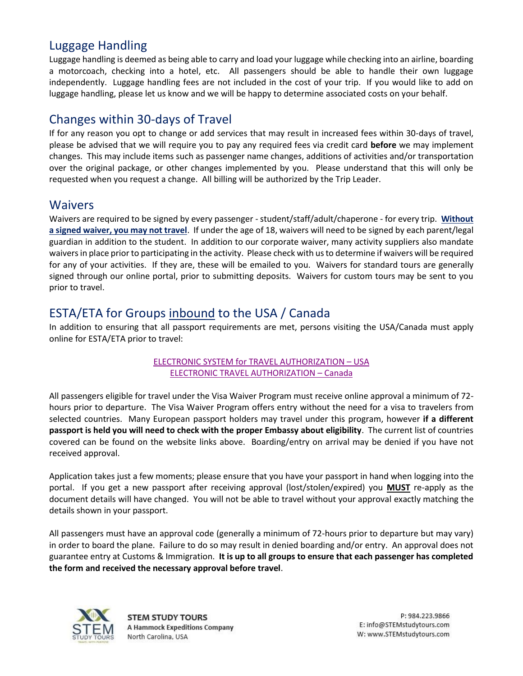## Luggage Handling

Luggage handling is deemed as being able to carry and load your luggage while checking into an airline, boarding a motorcoach, checking into a hotel, etc. All passengers should be able to handle their own luggage independently. Luggage handling fees are not included in the cost of your trip. If you would like to add on luggage handling, please let us know and we will be happy to determine associated costs on your behalf.

## Changes within 30-days of Travel

If for any reason you opt to change or add services that may result in increased fees within 30-days of travel, please be advised that we will require you to pay any required fees via credit card **before** we may implement changes. This may include items such as passenger name changes, additions of activities and/or transportation over the original package, or other changes implemented by you. Please understand that this will only be requested when you request a change. All billing will be authorized by the Trip Leader.

#### Waivers

Waivers are required to be signed by every passenger - student/staff/adult/chaperone - for every trip. **Without a signed waiver, you may not travel**. If under the age of 18, waivers will need to be signed by each parent/legal guardian in addition to the student. In addition to our corporate waiver, many activity suppliers also mandate waivers in place prior to participating in the activity. Please check with us to determine if waivers will be required for any of your activities. If they are, these will be emailed to you. Waivers for standard tours are generally signed through our online portal, prior to submitting deposits. Waivers for custom tours may be sent to you prior to travel.

## ESTA/ETA for Groups inbound to the USA / Canada

In addition to ensuring that all passport requirements are met, persons visiting the USA/Canada must apply online for ESTA/ETA prior to travel:

#### [ELECTRONIC SYSTEM for TRAVEL AUTHORIZATION](https://esta.cbp.dhs.gov/esta/) – USA [ELECTRONIC TRAVEL AUTHORIZATION](https://www.canada.ca/en/immigration-refugees-citizenship/services/visit-canada/eta.html) – Canada

All passengers eligible for travel under the Visa Waiver Program must receive online approval a minimum of 72 hours prior to departure. The Visa Waiver Program offers entry without the need for a visa to travelers from selected countries. Many European passport holders may travel under this program, however **if a different passport is held you will need to check with the proper Embassy about eligibility**. The current list of countries covered can be found on the website links above. Boarding/entry on arrival may be denied if you have not received approval.

Application takes just a few moments; please ensure that you have your passport in hand when logging into the portal. If you get a new passport after receiving approval (lost/stolen/expired) you **MUST** re-apply as the document details will have changed. You will not be able to travel without your approval exactly matching the details shown in your passport.

All passengers must have an approval code (generally a minimum of 72-hours prior to departure but may vary) in order to board the plane. Failure to do so may result in denied boarding and/or entry. An approval does not guarantee entry at Customs & Immigration. **It is up to all groups to ensure that each passenger has completed the form and received the necessary approval before travel**.

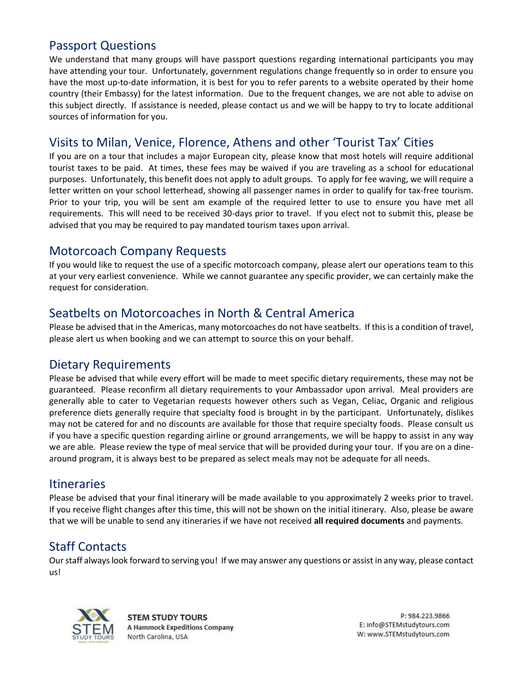## Passport Questions

We understand that many groups will have passport questions regarding international participants you may have attending your tour. Unfortunately, government regulations change frequently so in order to ensure you have the most up-to-date information, it is best for you to refer parents to a website operated by their home country (their Embassy) for the latest information. Due to the frequent changes, we are not able to advise on this subject directly. If assistance is needed, please contact us and we will be happy to try to locate additional sources of information for you.

## Visits to Milan, Venice, Florence, Athens and other 'Tourist Tax' Cities

If you are on a tour that includes a major European city, please know that most hotels will require additional tourist taxes to be paid. At times, these fees may be waived if you are traveling as a school for educational purposes. Unfortunately, this benefit does not apply to adult groups. To apply for fee waving, we will require a letter written on your school letterhead, showing all passenger names in order to qualify for tax-free tourism. Prior to your trip, you will be sent am example of the required letter to use to ensure you have met all requirements. This will need to be received 30-days prior to travel. If you elect not to submit this, please be advised that you may be required to pay mandated tourism taxes upon arrival.

#### Motorcoach Company Requests

If you would like to request the use of a specific motorcoach company, please alert our operations team to this at your very earliest convenience. While we cannot guarantee any specific provider, we can certainly make the request for consideration.

#### Seatbelts on Motorcoaches in North & Central America

Please be advised that in the Americas, many motorcoaches do not have seatbelts. If this is a condition of travel, please alert us when booking and we can attempt to source this on your behalf.

#### Dietary Requirements

Please be advised that while every effort will be made to meet specific dietary requirements, these may not be guaranteed. Please reconfirm all dietary requirements to your Ambassador upon arrival. Meal providers are generally able to cater to Vegetarian requests however others such as Vegan, Celiac, Organic and religious preference diets generally require that specialty food is brought in by the participant. Unfortunately, dislikes may not be catered for and no discounts are available for those that require specialty foods. Please consult us if you have a specific question regarding airline or ground arrangements, we will be happy to assist in any way we are able. Please review the type of meal service that will be provided during your tour. If you are on a dinearound program, it is always best to be prepared as select meals may not be adequate for all needs.

#### **Itineraries**

Please be advised that your final itinerary will be made available to you approximately 2 weeks prior to travel. If you receive flight changes after this time, this will not be shown on the initial itinerary. Also, please be aware that we will be unable to send any itineraries if we have not received **all required documents** and payments.

## Staff Contacts

Our staff always look forward to serving you! If we may answer any questions or assist in any way, please contact us!



**STEM STUDY TOURS A Hammock Expeditions Company** North Carolina, USA